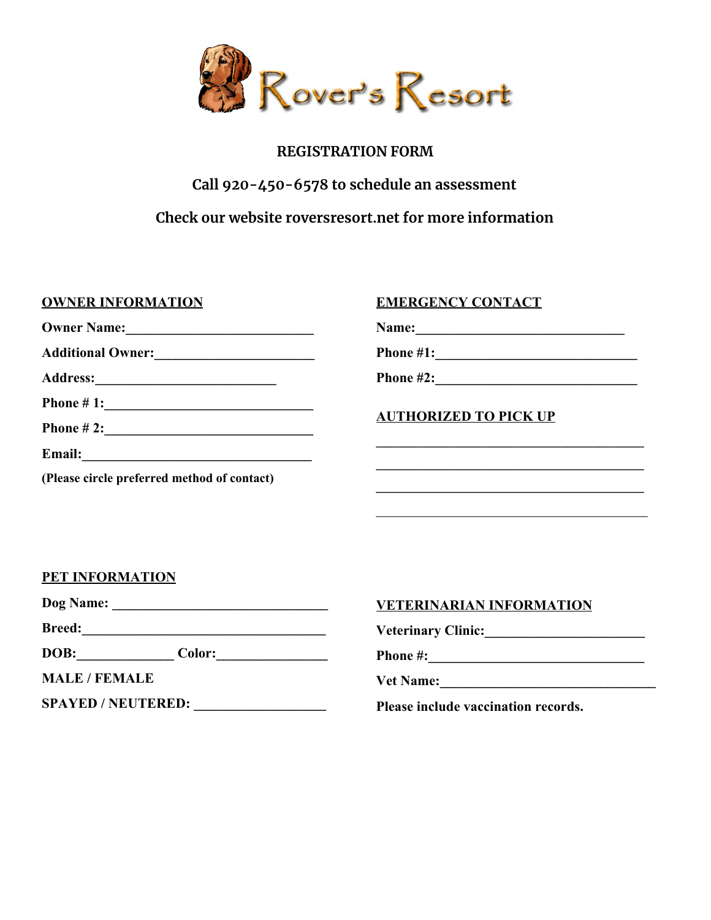

# **REGISTRATION FORM**

# **Call 920-450-6578 to schedule an assessment**

**Check our website roversresort.net for more information**

**OWNER INFORMATION EMERGENCY CONTACT**

**Owner Name:** 

**Additional Owner:\_\_\_\_\_\_\_\_\_\_\_\_\_\_\_\_\_\_\_\_\_\_\_**

**Phone # 1:\_\_\_\_\_\_\_\_\_\_\_\_\_\_\_\_\_\_\_\_\_\_\_\_\_\_\_\_\_\_**

**Phone # 2:\_\_\_\_\_\_\_\_\_\_\_\_\_\_\_\_\_\_\_\_\_\_\_\_\_\_\_\_\_\_**

**Address:\_\_\_\_\_\_\_\_\_\_\_\_\_\_\_\_\_\_\_\_\_\_\_\_\_\_**

**Email:\_\_\_\_\_\_\_\_\_\_\_\_\_\_\_\_\_\_\_\_\_\_\_\_\_\_\_\_\_\_\_\_\_**

**(Please circle preferred method of contact)**

**Name:\_\_\_\_\_\_\_\_\_\_\_\_\_\_\_\_\_\_\_\_\_\_\_\_\_\_\_\_\_\_**

**Phone #1:\_\_\_\_\_\_\_\_\_\_\_\_\_\_\_\_\_\_\_\_\_\_\_\_\_\_\_\_\_**

**Phone #2:\_\_\_\_\_\_\_\_\_\_\_\_\_\_\_\_\_\_\_\_\_\_\_\_\_\_\_\_\_**

**AUTHORIZED TO PICK UP**

**\_\_\_\_\_\_\_\_\_\_\_\_\_\_\_\_\_\_\_\_\_\_\_\_\_\_\_\_\_\_\_\_\_\_\_\_\_\_\_\_\_\_ \_\_\_\_\_\_\_\_\_\_\_\_\_\_\_\_\_\_\_\_\_\_\_\_\_\_\_\_\_\_\_\_\_\_\_\_\_\_\_\_\_\_ \_\_\_\_\_\_\_\_\_\_\_\_\_\_\_\_\_\_\_\_\_\_\_\_\_\_\_\_\_\_\_\_\_\_\_\_\_\_\_\_\_\_**

 $\mathcal{L}_\text{max}$  , and the set of the set of the set of the set of the set of the set of the set of the set of the set of the set of the set of the set of the set of the set of the set of the set of the set of the set of the

**PET INFORMATION**

**Dog Name: \_\_\_\_\_\_\_\_\_\_\_\_\_\_\_\_\_\_\_\_\_\_\_\_\_\_\_\_\_\_\_**

**Breed:\_\_\_\_\_\_\_\_\_\_\_\_\_\_\_\_\_\_\_\_\_\_\_\_\_\_\_\_\_\_\_\_\_\_\_**

**DOB:\_\_\_\_\_\_\_\_\_\_\_\_\_\_ Color:\_\_\_\_\_\_\_\_\_\_\_\_\_\_\_\_**

**MALE / FEMALE**

**SPAYED / NEUTERED: \_\_\_\_\_\_\_\_\_\_\_\_\_\_\_\_\_\_\_**

## **VETERINARIAN INFORMATION**

**Veterinary Clinic:\_\_\_\_\_\_\_\_\_\_\_\_\_\_\_\_\_\_\_\_\_\_\_**

**Phone #:\_\_\_\_\_\_\_\_\_\_\_\_\_\_\_\_\_\_\_\_\_\_\_\_\_\_\_\_\_\_\_**

Vet Name:

**Please include vaccination records.**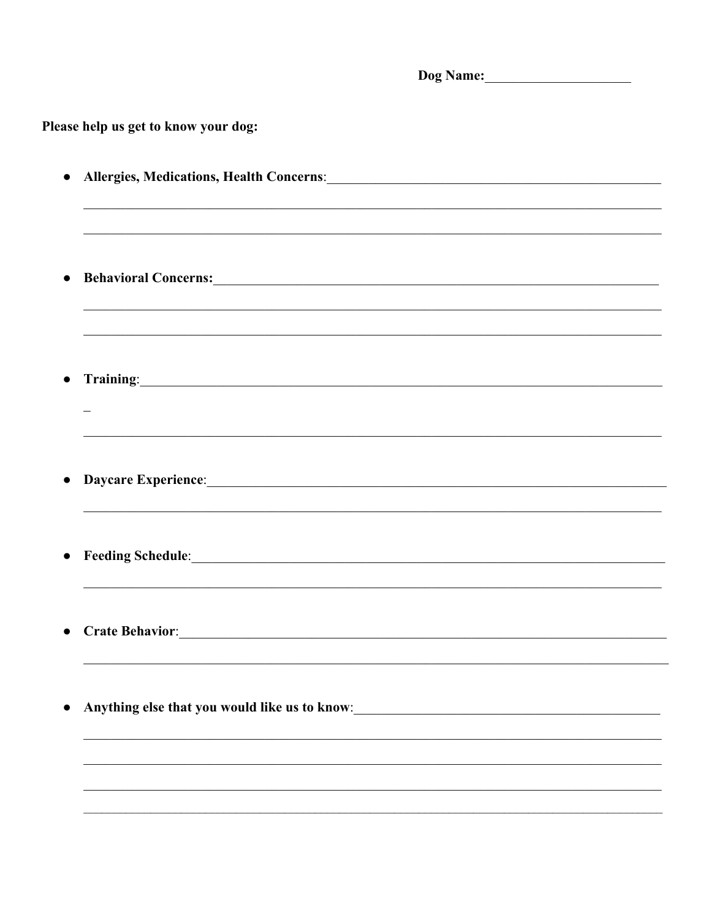| Please help us get to know your dog:                                                                                                                                                                                                        |  |  |
|---------------------------------------------------------------------------------------------------------------------------------------------------------------------------------------------------------------------------------------------|--|--|
|                                                                                                                                                                                                                                             |  |  |
| $\bullet$                                                                                                                                                                                                                                   |  |  |
|                                                                                                                                                                                                                                             |  |  |
|                                                                                                                                                                                                                                             |  |  |
|                                                                                                                                                                                                                                             |  |  |
| Behavioral Concerns: Lawrence Concerns and the Concerns of the Concerns of the Concerns of the Concerns of the Concerns of the Concerns of the Concerns of the Concerns of the Concerns of the Concerns of the Concerns of the<br>$\bullet$ |  |  |
|                                                                                                                                                                                                                                             |  |  |
|                                                                                                                                                                                                                                             |  |  |
|                                                                                                                                                                                                                                             |  |  |
| Training: The Commission of the Commission of the Commission of the Commission of the Commission of the Commission of the Commission of the Commission of the Commission of the Commission of the Commission of the Commission<br>$\bullet$ |  |  |
|                                                                                                                                                                                                                                             |  |  |
|                                                                                                                                                                                                                                             |  |  |
|                                                                                                                                                                                                                                             |  |  |
|                                                                                                                                                                                                                                             |  |  |
| $\bullet$                                                                                                                                                                                                                                   |  |  |
|                                                                                                                                                                                                                                             |  |  |
|                                                                                                                                                                                                                                             |  |  |
|                                                                                                                                                                                                                                             |  |  |
| Feeding Schedule: Manual Communication of the Communication of the Communication of the Communication of the Communication of the Communication of the Communication of the Communication of the Communication of the Communic<br>$\bullet$ |  |  |
|                                                                                                                                                                                                                                             |  |  |
|                                                                                                                                                                                                                                             |  |  |
| $\bullet$                                                                                                                                                                                                                                   |  |  |
|                                                                                                                                                                                                                                             |  |  |
|                                                                                                                                                                                                                                             |  |  |
| Anything else that you would like us to know:<br><u>Letting</u> that you would like us to know:<br>$\bullet$                                                                                                                                |  |  |
|                                                                                                                                                                                                                                             |  |  |
|                                                                                                                                                                                                                                             |  |  |
|                                                                                                                                                                                                                                             |  |  |
|                                                                                                                                                                                                                                             |  |  |
|                                                                                                                                                                                                                                             |  |  |
|                                                                                                                                                                                                                                             |  |  |